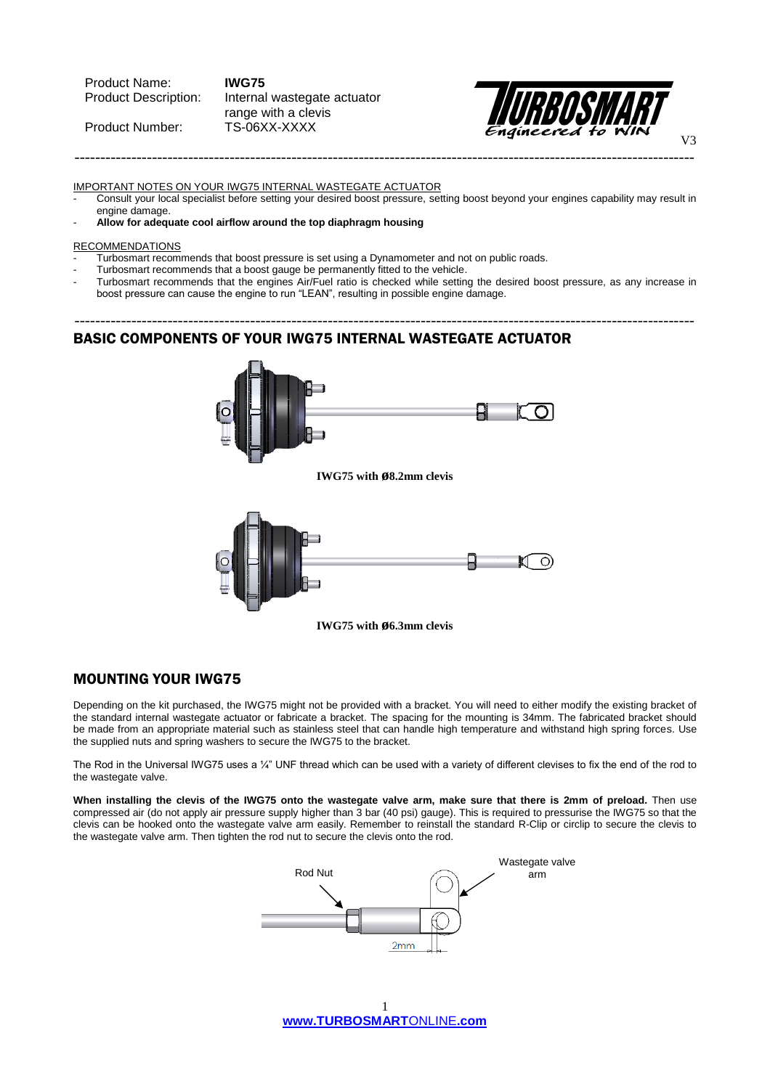Product Name: **IWG75**

Product Number:

Product Description: Internal wastegate actuator range with a clevis<br>TS-06XX-XXXX



IMPORTANT NOTES ON YOUR IWG75 INTERNAL WASTEGATE ACTUATOR

- Consult your local specialist before setting your desired boost pressure, setting boost beyond your engines capability may result in engine damage.

------------------------------------------------------------------------------------------------------------------------

### - **Allow for adequate cool airflow around the top diaphragm housing**

#### **RECOMMENDATIONS**

- Turbosmart recommends that boost pressure is set using a Dynamometer and not on public roads.
- Turbosmart recommends that a boost gauge be permanently fitted to the vehicle.
- Turbosmart recommends that the engines Air/Fuel ratio is checked while setting the desired boost pressure, as any increase in boost pressure can cause the engine to run "LEAN", resulting in possible engine damage.

------------------------------------------------------------------------------------------------------------------------

### BASIC COMPONENTS OF YOUR IWG75 INTERNAL WASTEGATE ACTUATOR



**IWG75 with ø6.3mm clevis**

## MOUNTING YOUR IWG75

Depending on the kit purchased, the IWG75 might not be provided with a bracket. You will need to either modify the existing bracket of the standard internal wastegate actuator or fabricate a bracket. The spacing for the mounting is 34mm. The fabricated bracket should be made from an appropriate material such as stainless steel that can handle high temperature and withstand high spring forces. Use the supplied nuts and spring washers to secure the IWG75 to the bracket.

The Rod in the Universal IWG75 uses a ¼" UNF thread which can be used with a variety of different clevises to fix the end of the rod to the wastegate valve.

**When installing the clevis of the IWG75 onto the wastegate valve arm, make sure that there is 2mm of preload.** Then use compressed air (do not apply air pressure supply higher than 3 bar (40 psi) gauge). This is required to pressurise the IWG75 so that the clevis can be hooked onto the wastegate valve arm easily. Remember to reinstall the standard R-Clip or circlip to secure the clevis to the wastegate valve arm. Then tighten the rod nut to secure the clevis onto the rod.



**[www.TURBOSMART](http://www.turboswmartonline.com/)**ONLINE**.com** 1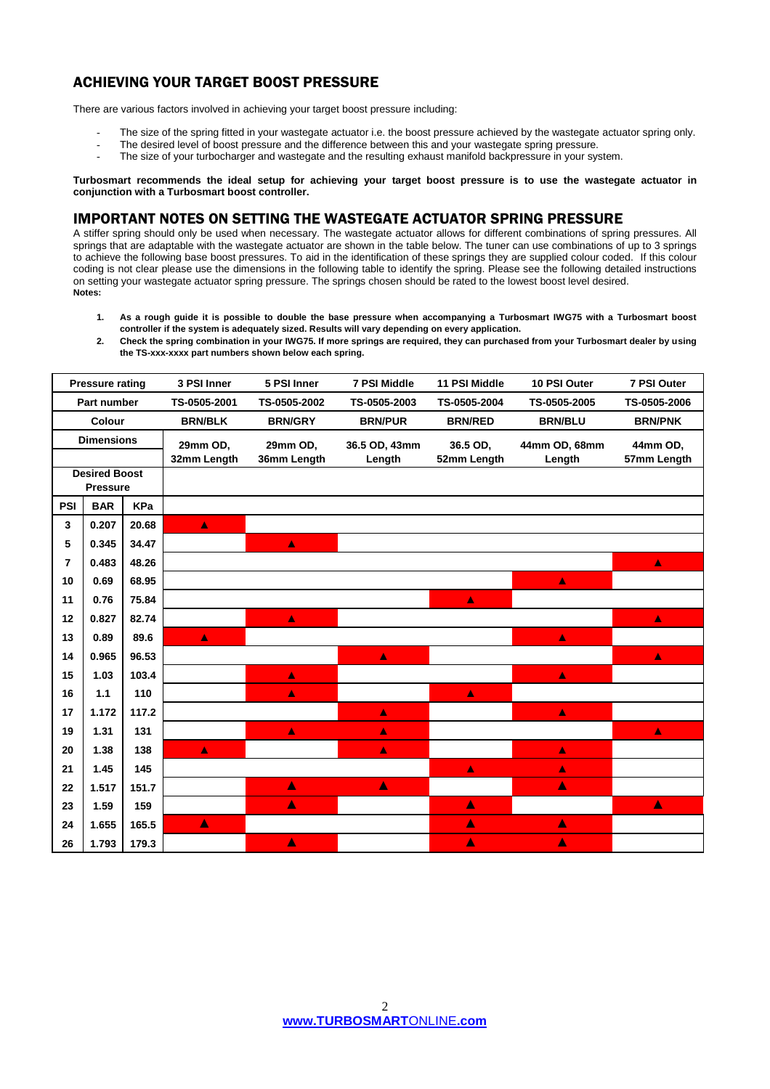# ACHIEVING YOUR TARGET BOOST PRESSURE

There are various factors involved in achieving your target boost pressure including:

- The size of the spring fitted in your wastegate actuator i.e. the boost pressure achieved by the wastegate actuator spring only.
- The desired level of boost pressure and the difference between this and your wastegate spring pressure.
- The size of your turbocharger and wastegate and the resulting exhaust manifold backpressure in your system.

**Turbosmart recommends the ideal setup for achieving your target boost pressure is to use the wastegate actuator in conjunction with a Turbosmart boost controller.**

# IMPORTANT NOTES ON SETTING THE WASTEGATE ACTUATOR SPRING PRESSURE

A stiffer spring should only be used when necessary. The wastegate actuator allows for different combinations of spring pressures. All springs that are adaptable with the wastegate actuator are shown in the table below. The tuner can use combinations of up to 3 springs to achieve the following base boost pressures. To aid in the identification of these springs they are supplied colour coded. If this colour coding is not clear please use the dimensions in the following table to identify the spring. Please see the following detailed instructions on setting your wastegate actuator spring pressure. The springs chosen should be rated to the lowest boost level desired. **Notes:**

- **1. As a rough guide it is possible to double the base pressure when accompanying a Turbosmart IWG75 with a Turbosmart boost controller if the system is adequately sized. Results will vary depending on every application.**
- **2. Check the spring combination in your IWG75. If more springs are required, they can purchased from your Turbosmart dealer by using the TS-xxx-xxxx part numbers shown below each spring.**

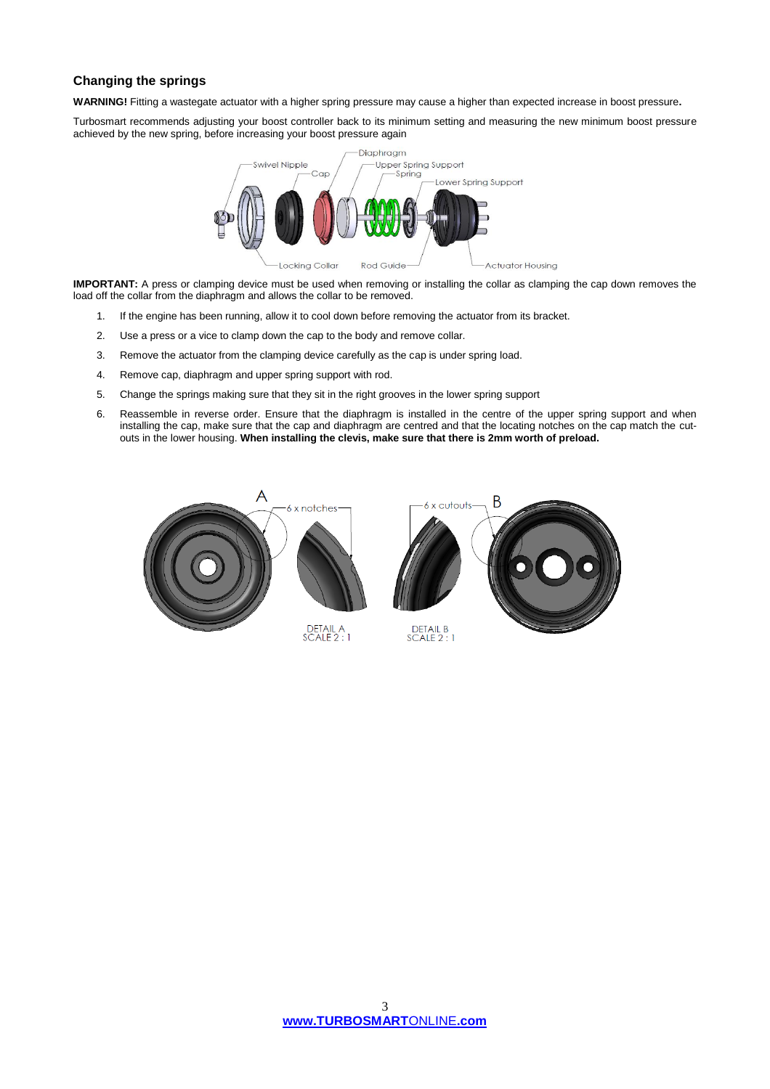## **Changing the springs**

**WARNING!** Fitting a wastegate actuator with a higher spring pressure may cause a higher than expected increase in boost pressure**.**

Turbosmart recommends adjusting your boost controller back to its minimum setting and measuring the new minimum boost pressure achieved by the new spring, before increasing your boost pressure again



**IMPORTANT:** A press or clamping device must be used when removing or installing the collar as clamping the cap down removes the load off the collar from the diaphragm and allows the collar to be removed.

- 1. If the engine has been running, allow it to cool down before removing the actuator from its bracket.
- 2. Use a press or a vice to clamp down the cap to the body and remove collar.
- 3. Remove the actuator from the clamping device carefully as the cap is under spring load.
- 4. Remove cap, diaphragm and upper spring support with rod.
- 5. Change the springs making sure that they sit in the right grooves in the lower spring support
- 6. Reassemble in reverse order. Ensure that the diaphragm is installed in the centre of the upper spring support and when installing the cap, make sure that the cap and diaphragm are centred and that the locating notches on the cap match the cutouts in the lower housing. **When installing the clevis, make sure that there is 2mm worth of preload.**

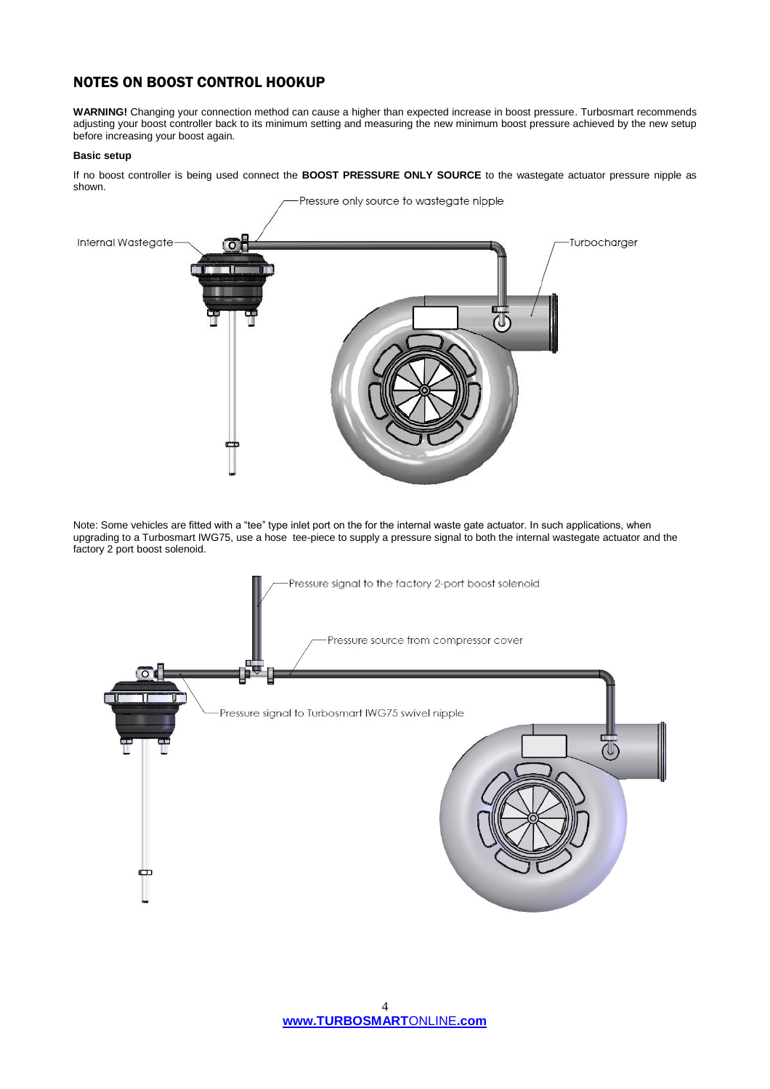# NOTES ON BOOST CONTROL HOOKUP

**WARNING!** Changing your connection method can cause a higher than expected increase in boost pressure. Turbosmart recommends adjusting your boost controller back to its minimum setting and measuring the new minimum boost pressure achieved by the new setup before increasing your boost again.

### **Basic setup**

If no boost controller is being used connect the **BOOST PRESSURE ONLY SOURCE** to the wastegate actuator pressure nipple as shown.



Note: Some vehicles are fitted with a "tee" type inlet port on the for the internal waste gate actuator. In such applications, when upgrading to a Turbosmart IWG75, use a hose tee-piece to supply a pressure signal to both the internal wastegate actuator and the factory 2 port boost solenoid.

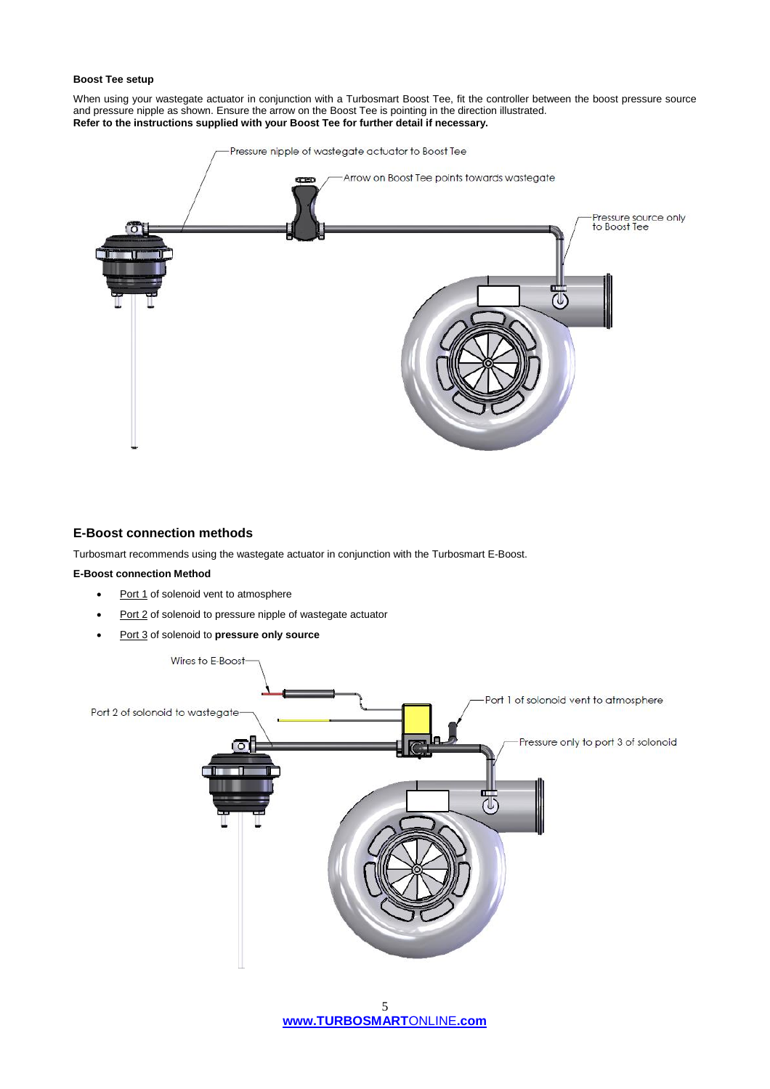#### **Boost Tee setup**

When using your wastegate actuator in conjunction with a Turbosmart Boost Tee, fit the controller between the boost pressure source and pressure nipple as shown. Ensure the arrow on the Boost Tee is pointing in the direction illustrated. **Refer to the instructions supplied with your Boost Tee for further detail if necessary.** 



### **E-Boost connection methods**

Turbosmart recommends using the wastegate actuator in conjunction with the Turbosmart E-Boost.

### **E-Boost connection Method**

- Port 1 of solenoid vent to atmosphere
- Port 2 of solenoid to pressure nipple of wastegate actuator
- Port 3 of solenoid to **pressure only source**



**[www.TURBOSMART](http://www.turboswmartonline.com/)**ONLINE**.com** 5